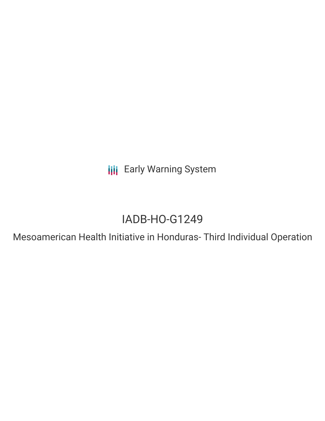**III** Early Warning System

# IADB-HO-G1249

Mesoamerican Health Initiative in Honduras- Third Individual Operation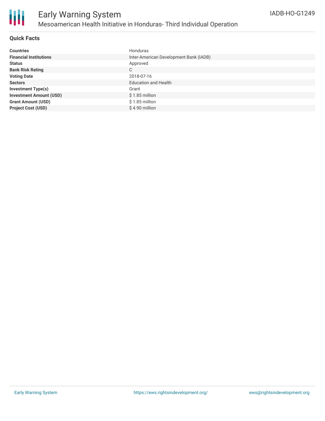

# **Quick Facts**

| <b>Countries</b>               | Honduras                               |
|--------------------------------|----------------------------------------|
| <b>Financial Institutions</b>  | Inter-American Development Bank (IADB) |
| <b>Status</b>                  | Approved                               |
| <b>Bank Risk Rating</b>        | C                                      |
| <b>Voting Date</b>             | 2018-07-16                             |
| <b>Sectors</b>                 | <b>Education and Health</b>            |
| <b>Investment Type(s)</b>      | Grant                                  |
| <b>Investment Amount (USD)</b> | $$1.85$ million                        |
| <b>Grant Amount (USD)</b>      | $$1.85$ million                        |
| <b>Project Cost (USD)</b>      | \$4.90 million                         |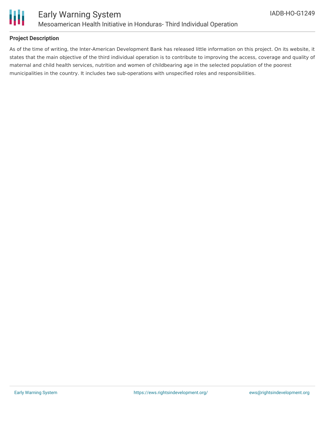

# **Project Description**

As of the time of writing, the Inter-American Development Bank has released little information on this project. On its website, it states that the main objective of the third individual operation is to contribute to improving the access, coverage and quality of maternal and child health services, nutrition and women of childbearing age in the selected population of the poorest municipalities in the country. It includes two sub-operations with unspecified roles and responsibilities.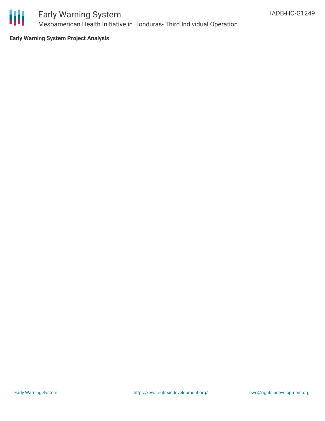

**Early Warning System Project Analysis**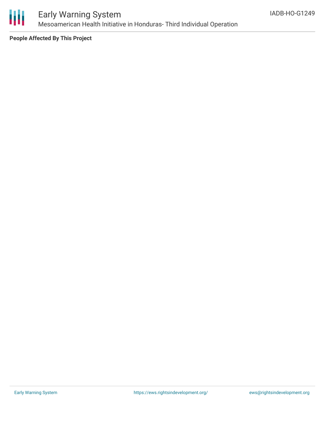

**People Affected By This Project**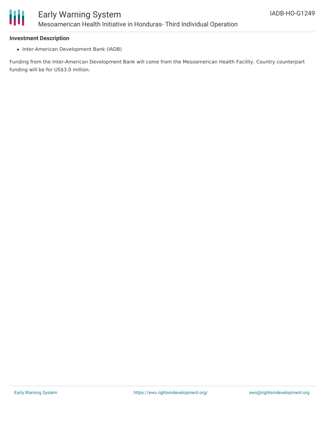

## **Investment Description**

• Inter-American Development Bank (IADB)

Funding from the Inter-American Development Bank will come from the Mesoamerican Health Facility. Country counterpart funding will be for US\$3.0 million.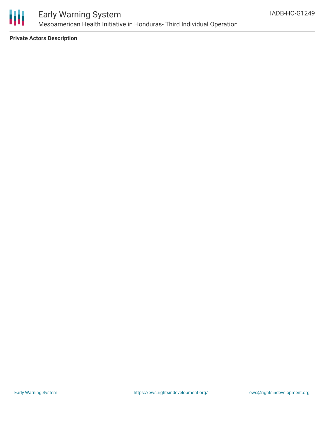

**Private Actors Description**